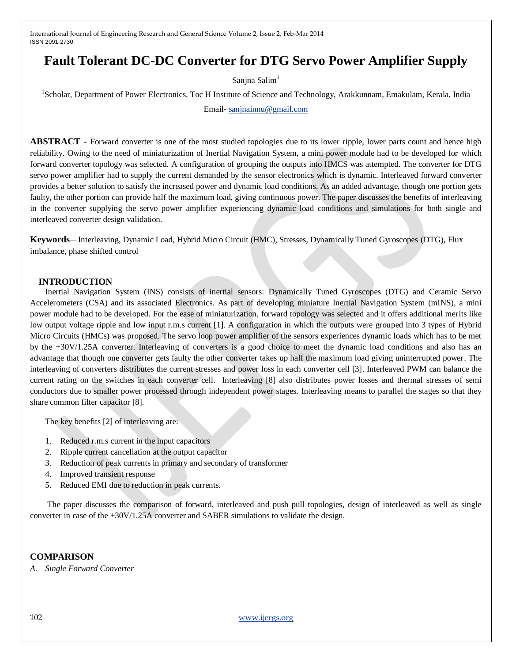# **Fault Tolerant DC-DC Converter for DTG Servo Power Amplifier Supply**

Sanjna Salim<sup>1</sup>

<sup>1</sup>Scholar, Department of Power Electronics, Toc H Institute of Science and Technology, Arakkunnam, Emakulam, Kerala, India

Email- [sanjnainnu@gmail.com](mailto:sanjnainnu@gmail.com)

**ABSTRACT -** Forward converter is one of the most studied topologies due to its lower ripple, lower parts count and hence high reliability. Owing to the need of miniaturization of Inertial Navigation System, a mini power module had to be developed for which forward converter topology was selected. A configuration of grouping the outputs into HMCS was attempted. The converter for DTG servo power amplifier had to supply the current demanded by the sensor electronics which is dynamic. Interleaved forward converter provides a better solution to satisfy the increased power and dynamic load conditions. As an added advantage, though one portion gets faulty, the other portion can provide half the maximum load, giving continuous power. The paper discusses the benefits of interleaving in the converter supplying the servo power amplifier experiencing dynamic load conditions and simulations for both single and interleaved converter design validation.

**Keywords**— Interleaving, Dynamic Load, Hybrid Micro Circuit (HMC), Stresses, Dynamically Tuned Gyroscopes (DTG), Flux imbalance, phase shifted control

## **INTRODUCTION**

Inertial Navigation System (INS) consists of inertial sensors: Dynamically Tuned Gyroscopes (DTG) and Ceramic Servo Accelerometers (CSA) and its associated Electronics. As part of developing miniature Inertial Navigation System (mINS), a mini power module had to be developed. For the ease of miniaturization, forward topology was selected and it offers additional merits like low output voltage ripple and low input r.m.s current [1]. A configuration in which the outputs were grouped into 3 types of Hybrid Micro Circuits (HMCs) was proposed. The servo loop power amplifier of the sensors experiences dynamic loads which has to be met by the +30V/1.25A converter. Interleaving of converters is a good choice to meet the dynamic load conditions and also has an advantage that though one converter gets faulty the other converter takes up half the maximum load giving uninterrupted power. The interleaving of converters distributes the current stresses and power loss in each converter cell [3]. Interleaved PWM can balance the current rating on the switches in each converter cell. Interleaving [8] also distributes power losses and thermal stresses of semi conductors due to smaller power processed through independent power stages. Interleaving means to parallel the stages so that they share common filter capacitor [8].

The key benefits [2] of interleaving are:

- 1. Reduced r.m.s current in the input capacitors
- 2. Ripple current cancellation at the output capacitor
- 3. Reduction of peak currents in primary and secondary of transformer
- 4. Improved transient response
- 5. Reduced EMI due to reduction in peak currents.

The paper discusses the comparison of forward, interleaved and push pull topologies, design of interleaved as well as single converter in case of the +30V/1.25A converter and SABER simulations to validate the design.

## **COMPARISON**

*A. Single Forward Converter*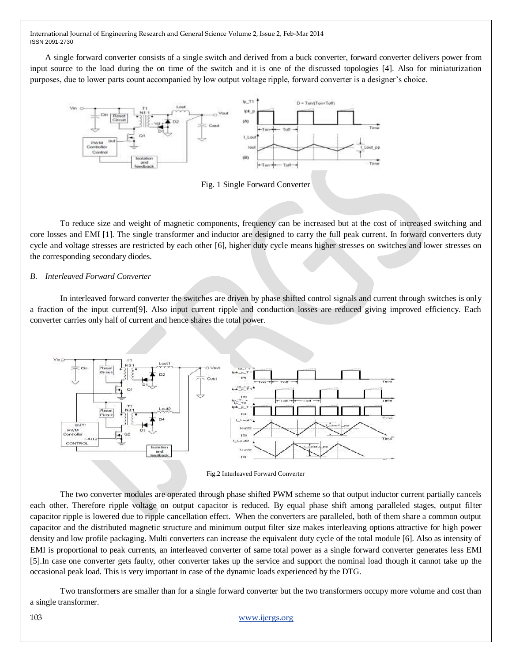A single forward converter consists of a single switch and derived from a buck converter, forward converter delivers power from input source to the load during the on time of the switch and it is one of the discussed topologies [4]. Also for miniaturization purposes, due to lower parts count accompanied by low output voltage ripple, forward converter is a designer's choice.



Fig. 1 Single Forward Converter

To reduce size and weight of magnetic components, frequency can be increased but at the cost of increased switching and core losses and EMI [1]. The single transformer and inductor are designed to carry the full peak current. In forward converters duty cycle and voltage stresses are restricted by each other [6], higher duty cycle means higher stresses on switches and lower stresses on the corresponding secondary diodes.

## *B. Interleaved Forward Converter*

In interleaved forward converter the switches are driven by phase shifted control signals and current through switches is only a fraction of the input current[9]. Also input current ripple and conduction losses are reduced giving improved efficiency. Each converter carries only half of current and hence shares the total power.



Fig.2 Interleaved Forward Converter

The two converter modules are operated through phase shifted PWM scheme so that output inductor current partially cancels each other. Therefore ripple voltage on output capacitor is reduced. By equal phase shift among paralleled stages, output filter capacitor ripple is lowered due to ripple cancellation effect. When the converters are paralleled, both of them share a common output capacitor and the distributed magnetic structure and minimum output filter size makes interleaving options attractive for high power density and low profile packaging. Multi converters can increase the equivalent duty cycle of the total module [6]. Also as intensity of EMI is proportional to peak currents, an interleaved converter of same total power as a single forward converter generates less EMI [5].In case one converter gets faulty, other converter takes up the service and support the nominal load though it cannot take up the occasional peak load. This is very important in case of the dynamic loads experienced by the DTG.

Two transformers are smaller than for a single forward converter but the two transformers occupy more volume and cost than a single transformer.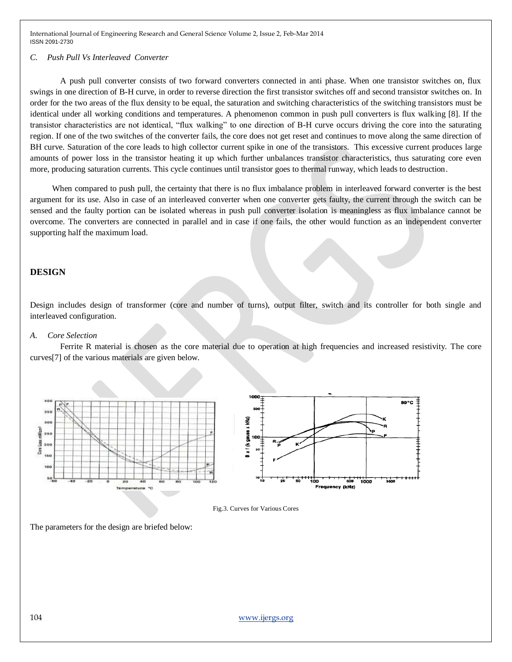#### *C. Push Pull Vs Interleaved Converter*

A push pull converter consists of two forward converters connected in anti phase. When one transistor switches on, flux swings in one direction of B-H curve, in order to reverse direction the first transistor switches off and second transistor switches on. In order for the two areas of the flux density to be equal, the saturation and switching characteristics of the switching transistors must be identical under all working conditions and temperatures. A phenomenon common in push pull converters is flux walking [8]. If the transistor characteristics are not identical, "flux walking" to one direction of B-H curve occurs driving the core into the saturating region. If one of the two switches of the converter fails, the core does not get reset and continues to move along the same direction of BH curve. Saturation of the core leads to high collector current spike in one of the transistors. This excessive current produces large amounts of power loss in the transistor heating it up which further unbalances transistor characteristics, thus saturating core even more, producing saturation currents. This cycle continues until transistor goes to thermal runway, which leads to destruction.

When compared to push pull, the certainty that there is no flux imbalance problem in interleaved forward converter is the best argument for its use. Also in case of an interleaved converter when one converter gets faulty, the current through the switch can be sensed and the faulty portion can be isolated whereas in push pull converter isolation is meaningless as flux imbalance cannot be overcome. The converters are connected in parallel and in case if one fails, the other would function as an independent converter supporting half the maximum load.

#### **DESIGN**

Design includes design of transformer (core and number of turns), output filter, switch and its controller for both single and interleaved configuration.

#### *A. Core Selection*

Ferrite R material is chosen as the core material due to operation at high frequencies and increased resistivity. The core curves[7] of the various materials are given below.



Fig.3. Curves for Various Cores

The parameters for the design are briefed below: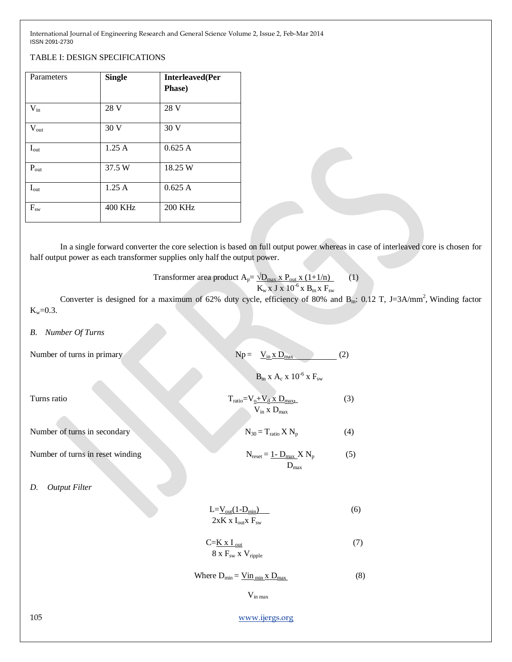## TABLE I: DESIGN SPECIFICATIONS

| Parameters                | <b>Single</b>  | <b>Interleaved</b> (Per<br>Phase) |
|---------------------------|----------------|-----------------------------------|
| $V_{in}$                  | 28 V           | 28 V                              |
| $\rm V_{out}$             | 30 V           | 30 V                              |
| $I_{out}$                 | 1.25A          | 0.625A                            |
| $\mathbf{P}_{\text{out}}$ | 37.5 W         | 18.25 W                           |
| $I_{\text{out}}$          | 1.25A          | 0.625A                            |
| $\mathbf{F}_{\text{sw}}$  | <b>400 KHz</b> | <b>200 KHz</b>                    |

In a single forward converter the core selection is based on full output power whereas in case of interleaved core is chosen for half output power as each transformer supplies only half the output power.

Transformer area product  $A_p = \sqrt{D_{max} \times P_{out} \times (1 + 1/n)}$  (1)  $K_{\rm w}$  x J x 10<sup>-6</sup> x B<sub>m</sub> x F<sub>sw</sub>

Converter is designed for a maximum of 62% duty cycle, efficiency of 80% and  $B_m$ : 0.12 T, J=3A/mm<sup>2</sup>, Winding factor  $K_w = 0.3$ .

#### *B. Number Of Turns*

| Number of turns in primary |  |  |
|----------------------------|--|--|
|                            |  |  |

| Number of turns in primary       | $Np = V_{in} \times D_{max}$                                | (2) |
|----------------------------------|-------------------------------------------------------------|-----|
|                                  | $B_m$ x $A_c$ x $10^{-6}$ x $F_{sw}$                        |     |
| Turns ratio                      | $T_{ratio} = V_0 + V_d$ x $D_{max}$<br>$V_{in}$ x $D_{max}$ | (3) |
| Number of turns in secondary     | $N_{30} = T_{ratio} X N_p$                                  | (4) |
| Number of turns in reset winding | $N_{reset} = 1 - D_{max} X N_p$<br>$D_{max}$                | (5) |
| <b>Output Filter</b><br>D.       |                                                             |     |
|                                  | $L = V_{out}(1-D_{min})$<br>$2xK x I_{out}x F_{sw}$         | (6) |
|                                  | $C=K \times I_{out}$<br>$8 \times F_{sw} \times V_{ripole}$ | (7) |
|                                  | Where $D_{min} = \underline{Vin_{min} \times D_{max}}$      | (8) |
|                                  | $V_{in max}$                                                |     |
| 105                              | www.ijergs.org                                              |     |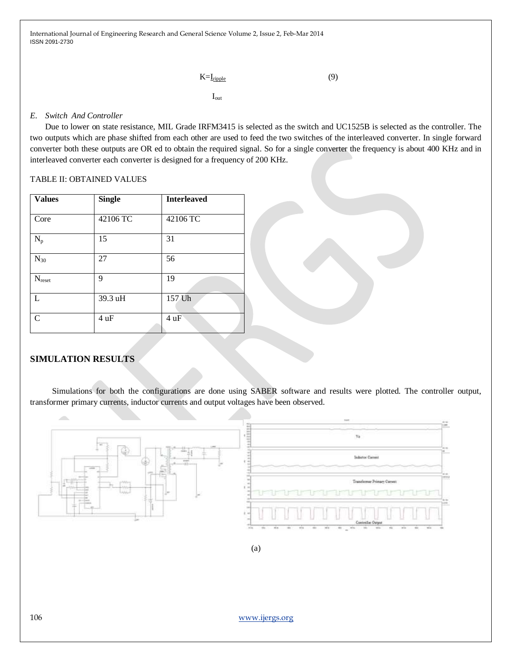```
K=\underline{\mathrm{I}_{\text{right}}} (9)
```
 $I_{\text{out}}$ 

## *E. Switch And Controller*

Due to lower on state resistance, MIL Grade IRFM3415 is selected as the switch and UC1525B is selected as the controller. The two outputs which are phase shifted from each other are used to feed the two switches of the interleaved converter. In single forward converter both these outputs are OR ed to obtain the required signal. So for a single converter the frequency is about 400 KHz and in interleaved converter each converter is designed for a frequency of 200 KHz.

## TABLE II: OBTAINED VALUES

| <b>Values</b> | <b>Single</b> | <b>Interleaved</b> |
|---------------|---------------|--------------------|
| Core          | 42106 TC      | 42106 TC           |
| $N_p$         | 15            | 31                 |
| $N_{30}$      | 27            | 56                 |
| $N_{reset}$   | 9             | 19                 |
| L             | 39.3 uH       | 157 Uh             |
| $\mathcal{C}$ | 4uF           | 4 uF               |

## **SIMULATION RESULTS**

Simulations for both the configurations are done using SABER software and results were plotted. The controller output, transformer primary currents, inductor currents and output voltages have been observed.